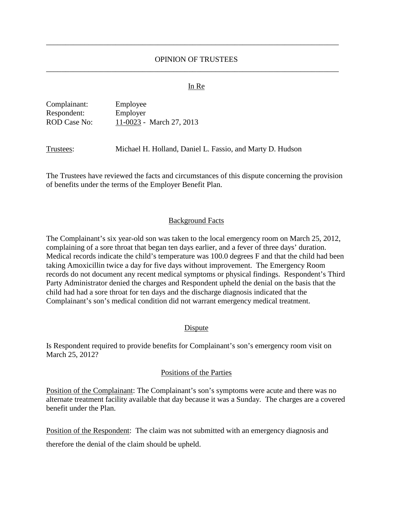# OPINION OF TRUSTEES \_\_\_\_\_\_\_\_\_\_\_\_\_\_\_\_\_\_\_\_\_\_\_\_\_\_\_\_\_\_\_\_\_\_\_\_\_\_\_\_\_\_\_\_\_\_\_\_\_\_\_\_\_\_\_\_\_\_\_\_\_\_\_\_\_\_\_\_\_\_\_\_\_\_\_\_

\_\_\_\_\_\_\_\_\_\_\_\_\_\_\_\_\_\_\_\_\_\_\_\_\_\_\_\_\_\_\_\_\_\_\_\_\_\_\_\_\_\_\_\_\_\_\_\_\_\_\_\_\_\_\_\_\_\_\_\_\_\_\_\_\_\_\_\_\_\_\_\_\_\_\_\_

#### In Re

| Complainant: | Employee                 |
|--------------|--------------------------|
| Respondent:  | Employer                 |
| ROD Case No: | 11-0023 - March 27, 2013 |

Trustees: Michael H. Holland, Daniel L. Fassio, and Marty D. Hudson

The Trustees have reviewed the facts and circumstances of this dispute concerning the provision of benefits under the terms of the Employer Benefit Plan.

### Background Facts

The Complainant's six year-old son was taken to the local emergency room on March 25, 2012, complaining of a sore throat that began ten days earlier, and a fever of three days' duration. Medical records indicate the child's temperature was 100.0 degrees F and that the child had been taking Amoxicillin twice a day for five days without improvement. The Emergency Room records do not document any recent medical symptoms or physical findings. Respondent's Third Party Administrator denied the charges and Respondent upheld the denial on the basis that the child had had a sore throat for ten days and the discharge diagnosis indicated that the Complainant's son's medical condition did not warrant emergency medical treatment.

### Dispute

Is Respondent required to provide benefits for Complainant's son's emergency room visit on March 25, 2012?

#### Positions of the Parties

Position of the Complainant: The Complainant's son's symptoms were acute and there was no alternate treatment facility available that day because it was a Sunday. The charges are a covered benefit under the Plan.

Position of the Respondent: The claim was not submitted with an emergency diagnosis and therefore the denial of the claim should be upheld.